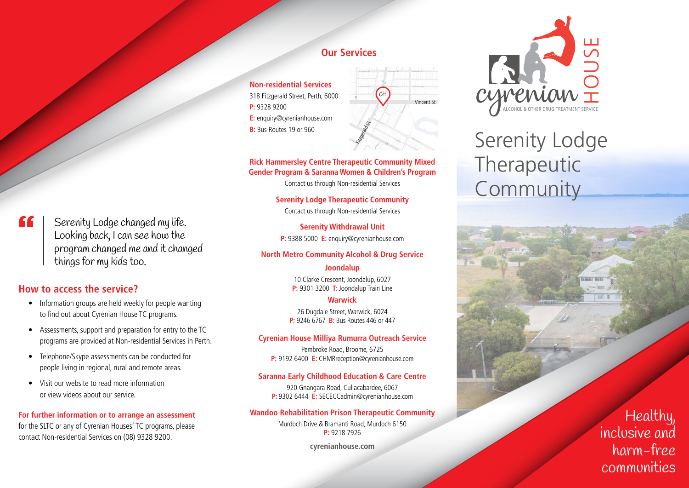### **Our Services**

**Non-residential Services** 318 Fitzgerald Street, Perth, 6000 **P:** 9328 9200 **E:** enquiry@cyrenianhouse.com **B:** Bus Routes 19 or 960



### **Rick Hammersley Centre Therapeutic Community Mixed Gender Program & Saranna Women & Children's Program**

Contact us through Non-residential Services

**Serenity Lodge Therapeutic Community** Contact us through Non-residential Services

**Serenity Withdrawal Unit P:** 9388 5000 **E:** enquiry@cyrenianhouse.com

### **North Metro Community Alcohol & Drug Service**

### **Joondalup**

10 Clarke Crescent, Joondalup, 6027 **P:** 9301 3200 **T:** Joondalup Train Line

### **Warwick**

26 Dugdale Street, Warwick, 6024 **P:** 9246 6767 **B:** Bus Routes 446 or 447

### **Cyrenian House Milliya Rumurra Outreach Service**

Pembroke Road, Broome, 6725 **P:** 9192 6400 **E:** CHMRreception@cyrenianhouse.com

#### **Saranna Early Childhood Education & Care Centre**

920 Gnangara Road, Cullacabardee, 6067 **P:** 9302 6444 **E:** SECECCadmin@cyrenianhouse.com

### **Wandoo Rehabilitation Prison Therapeutic Community**

Murdoch Drive & Bramanti Road, Murdoch 6150 **P:** 9218 7926

**cyrenianhouse.com**

# meniai

# Serenity Lodge Therapeutic Community

Healthy, inclusive and harm-free communities

££ Serenity Lodge changed my life. Looking back, I can see how the program changed me and it changed things for my kids too.

### **How to access the service?**

- Information groups are held weekly for people wanting to find out about Cyrenian House TC programs.
- Assessments, support and preparation for entry to the TC programs are provided at Non-residential Services in Perth.
- Telephone/Skype assessments can be conducted for people living in regional, rural and remote areas.
- Visit our website to read more information or view videos about our service.

**For further information or to arrange an assessment** for the SLTC or any of Cyrenian Houses' TC programs, please contact Non-residential Services on (08) 9328 9200.